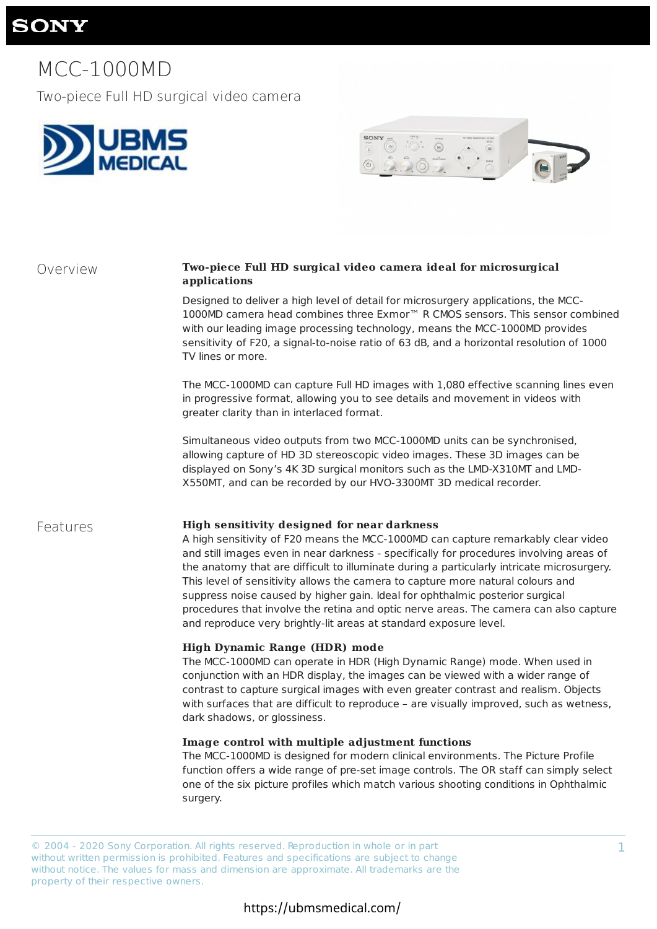1

# **SONY**

# MCC-1000MD

Two-piece Full HD surgical video camera





## Overview **Two-piece Full HD surgical video camera ideal for microsurgical applications**

Designed to deliver a high level of detail for microsurgery applications, the MCC-1000MD camera head combines three Exmor™ R CMOS sensors. This sensor combined with our leading image processing technology, means the MCC-1000MD provides sensitivity of F20, a signal-to-noise ratio of 63 dB, and a horizontal resolution of 1000 TV lines or more.

The MCC-1000MD can capture Full HD images with 1,080 effective scanning lines even in progressive format, allowing you to see details and movement in videos with greater clarity than in interlaced format.

Simultaneous video outputs from two MCC-1000MD units can be synchronised, allowing capture of HD 3D stereoscopic video images. These 3D images can be displayed on Sony's 4K 3D surgical monitors such as the LMD-X310MT and LMD-X550MT, and can be recorded by our HVO-3300MT 3D medical recorder.

## Features **High sensitivity designed for near darkness**

A high sensitivity of F20 means the MCC-1000MD can capture remarkably clear video and still images even in near darkness - specifically for procedures involving areas of the anatomy that are difficult to illuminate during a particularly intricate microsurgery. This level of sensitivity allows the camera to capture more natural colours and suppress noise caused by higher gain. Ideal for ophthalmic posterior surgical procedures that involve the retina and optic nerve areas. The camera can also capture and reproduce very brightly-lit areas at standard exposure level.

## **High Dynamic Range (HDR) mode**

The MCC-1000MD can operate in HDR (High Dynamic Range) mode. When used in conjunction with an HDR display, the images can be viewed with a wider range of contrast to capture surgical images with even greater contrast and realism. Objects with surfaces that are difficult to reproduce – are visually improved, such as wetness, dark shadows, or glossiness.

### **Image control with multiple adjustment functions**

The MCC-1000MD is designed for modern clinical environments. The Picture Profile function offers a wide range of pre-set image controls. The OR staff can simply select one of the six picture profiles which match various shooting conditions in Ophthalmic surgery.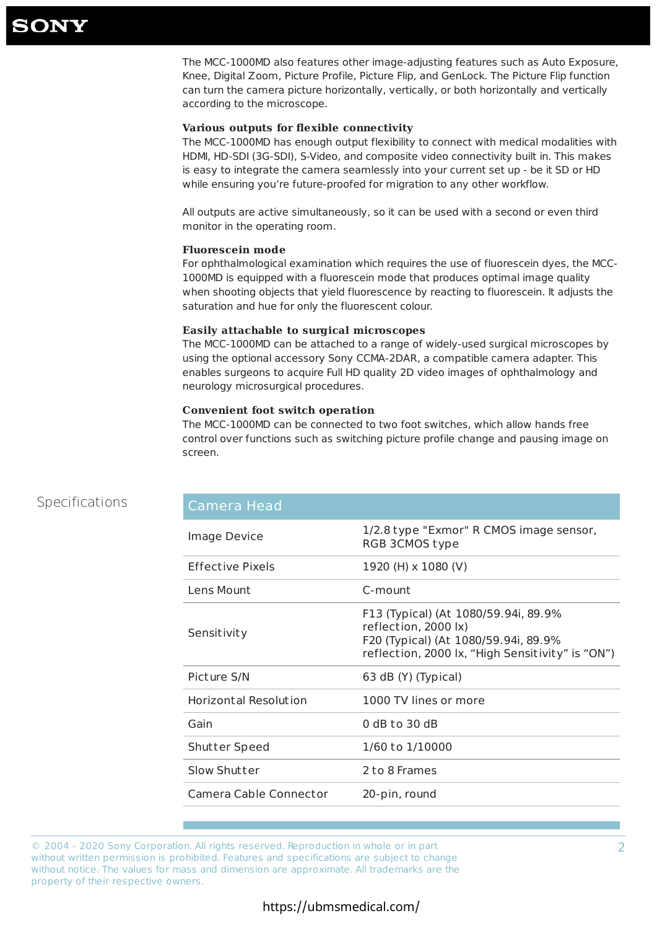2

## Specifications

The MCC-1000MD also features other image-adjusting features such as Auto Exposure, Knee, Digital Zoom, Picture Profile, Picture Flip, and GenLock. The Picture Flip function can turn the camera picture horizontally, vertically, or both horizontally and vertically according to the microscope.

## **Various outputs for flexible connectivity**

The MCC-1000MD has enough output flexibility to connect with medical modalities with HDMI, HD-SDI (3G-SDI), S-Video, and composite video connectivity built in. This makes is easy to integrate the camera seamlessly into your current set up - be it SD or HD while ensuring you're future-proofed for migration to any other workflow.

All outputs are active simultaneously, so it can be used with a second or even third monitor in the operating room.

## **Fluorescein mode**

For ophthalmological examination which requires the use of fluorescein dyes, the MCC-1000MD is equipped with a fluorescein mode that produces optimal image quality when shooting objects that yield fluorescence by reacting to fluorescein. It adjusts the saturation and hue for only the fluorescent colour.

## **Easily attachable to surgical microscopes**

The MCC-1000MD can be attached to a range of widely-used surgical microscopes by using the optional accessory Sony CCMA-2DAR, a compatible camera adapter. This enables surgeons to acquire Full HD quality 2D video images of ophthalmology and neurology microsurgical procedures.

## **Convenient foot switch operation**

The MCC-1000MD can be connected to two foot switches, which allow hands free control over functions such as switching picture profile change and pausing image on screen.

| <b>Camera Head</b>           |                                                                                                                                                          |
|------------------------------|----------------------------------------------------------------------------------------------------------------------------------------------------------|
| Image Device                 | 1/2.8 type "Exmor" R CMOS image sensor,<br>RGB 3CMOS type                                                                                                |
| <b>Effective Pixels</b>      | 1920 (H) x 1080 (V)                                                                                                                                      |
| Lens Mount                   | C-mount                                                                                                                                                  |
| Sensitivity                  | F13 (Typical) (At 1080/59.94i, 89.9%<br>reflection, 2000 lx)<br>F20 (Typical) (At 1080/59.94i, 89.9%<br>reflection, 2000 lx, "High Sensitivity" is "ON") |
| Picture S/N                  | 63 dB (Y) (Typical)                                                                                                                                      |
| <b>Horizontal Resolution</b> | 1000 TV lines or more                                                                                                                                    |
| Gain                         | $0$ dB to 30 dB                                                                                                                                          |
| <b>Shutter Speed</b>         | 1/60 to 1/10000                                                                                                                                          |
| Slow Shutter                 | 2 to 8 Frames                                                                                                                                            |
| Camera Cable Connector       | 20-pin, round                                                                                                                                            |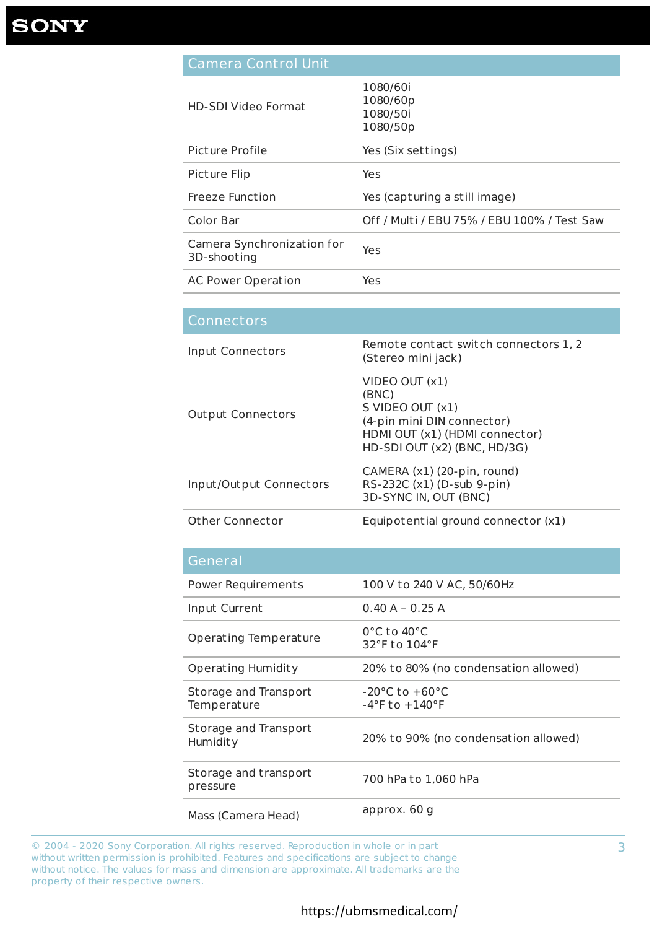# **SONY**

| Camera Control Unit |  |
|---------------------|--|
|                     |  |

| <b>HD-SDI Video Format</b>                | 1080/60i<br>1080/60p<br>1080/50i<br>1080/50p |
|-------------------------------------------|----------------------------------------------|
| Picture Profile                           | Yes (Six settings)                           |
| Picture Flip                              | Yes                                          |
| <b>Freeze Function</b>                    | Yes (capturing a still image)                |
| <b>Color Bar</b>                          | Off / Multi / EBU 75% / EBU 100% / Test Saw  |
| Camera Synchronization for<br>3D-shooting | Yes                                          |
| <b>AC Power Operation</b>                 | Yes                                          |

| Connectors               |                                                                                                                                                 |
|--------------------------|-------------------------------------------------------------------------------------------------------------------------------------------------|
| Input Connectors         | Remote contact switch connectors 1, 2<br>(Stereo mini jack)                                                                                     |
| <b>Output Connectors</b> | $VIDEO$ OUT $(x1)$<br>(BNC)<br>S VIDEO OUT (x1)<br>(4-pin mini DIN connector)<br>HDMI OUT (x1) (HDMI connector)<br>HD-SDI OUT (x2) (BNC, HD/3G) |
| Input/Output Connectors  | CAMERA (x1) (20-pin, round)<br>RS-232C (x1) (D-sub 9-pin)<br>3D-SYNC IN, OUT (BNC)                                                              |
| <b>Other Connector</b>   | Equipotential ground connector (x1)                                                                                                             |

| <b>Power Requirements</b>                   | 100 V to 240 V AC, 50/60Hz                                               |
|---------------------------------------------|--------------------------------------------------------------------------|
| Input Current                               | $0.40 A - 0.25 A$                                                        |
| <b>Operating Temperature</b>                | $0^{\circ}$ C to 40 $^{\circ}$ C<br>32°F to 104°F                        |
| <b>Operating Humidity</b>                   | 20% to 80% (no condensation allowed)                                     |
| <b>Storage and Transport</b><br>Temperature | $-20^{\circ}$ C to $+60^{\circ}$ C<br>$-4^{\circ}$ F to $+140^{\circ}$ F |
| Storage and Transport<br>Humidity           | 20% to 90% (no condensation allowed)                                     |
| Storage and transport<br>pressure           | 700 hPa to 1,060 hPa                                                     |
| Mass (Camera Head)                          | approx. 60 g                                                             |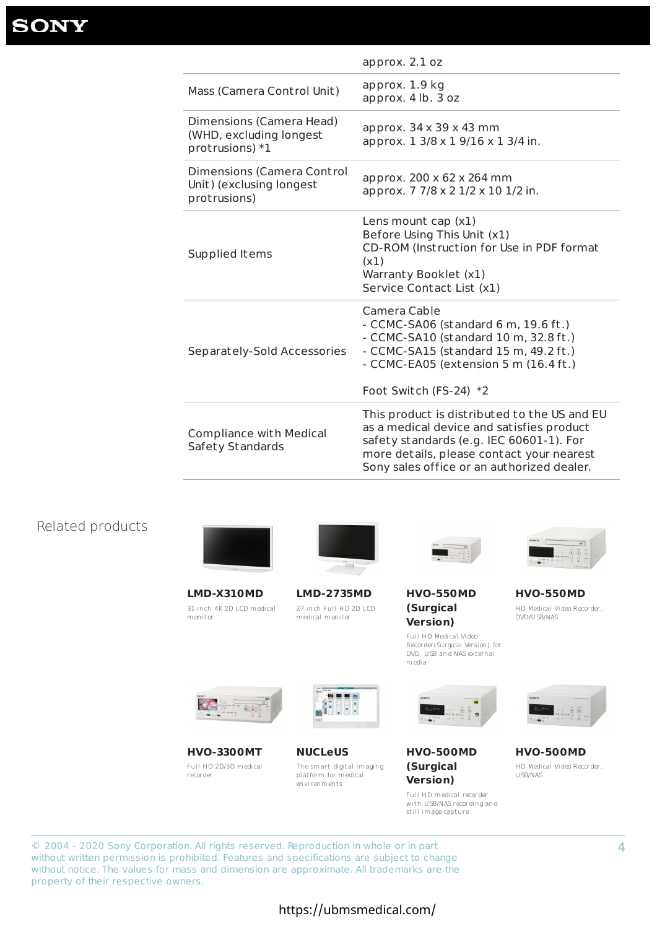4

|                                                                           | approx. $2.1$ oz                                                                                                                                                                                                                 |
|---------------------------------------------------------------------------|----------------------------------------------------------------------------------------------------------------------------------------------------------------------------------------------------------------------------------|
| Mass (Camera Control Unit)                                                | approx. 1.9 kg<br>approx. 4 lb. 3 oz                                                                                                                                                                                             |
| Dimensions (Camera Head)<br>(WHD, excluding longest)<br>protrusions) $*1$ | approx. $34 \times 39 \times 43$ mm<br>approx. 1 3/8 x 1 9/16 x 1 3/4 in.                                                                                                                                                        |
| Dimensions (Camera Control<br>Unit) (exclusing longest<br>protrusions)    | approx. 200 x 62 x 264 mm<br>approx. 7 7/8 x 2 1/2 x 10 1/2 in.                                                                                                                                                                  |
| Supplied Items                                                            | Lens mount cap $(x1)$<br>Before Using This Unit (x1)<br>CD-ROM (Instruction for Use in PDF format<br>(x1)<br>Warranty Booklet (x1)<br>Service Contact List (x1)                                                                  |
| Separately-Sold Accessories                                               | Camera Cable<br>$-$ CCMC-SA06 (standard 6 m, 19.6 ft.)<br>- CCMC-SA10 (standard 10 m, 32.8 ft.)<br>- CCMC-SA15 (standard 15 m, 49.2 ft.)<br>- CCMC-EA05 (extension 5 m (16.4 ft.)<br>Foot Switch (FS-24) *2                      |
| <b>Compliance with Medical</b><br><b>Safety Standards</b>                 | This product is distributed to the US and EU<br>as a medical device and satisfies product<br>safety standards (e.g. IEC 60601-1). For<br>more details, please contact your nearest<br>Sony sales office or an authorized dealer. |

## Related products



**LMD-X310MD** 31-inch 4K 2D LCD medical monitor



**LMD-2735MD** 27-inch Full HD 2D LCD medical monitor



## **HVO-550MD (Surgical Version)**

Full HD Medical Video Recorder(Surgical Version) for DVD, U SB and NAS external media



**HVO-550MD** HD Medical Video Recorder, DVD/U SB/NAS









### **HVO-3300MT**

Full HD 2D/3D medical recorder

## **NUCLeUS**

The smart digital imaging platform for medical environments

## **HVO-500MD (Surgical Version)**



still image capture

#### **HVO-500MD**

HD Medical Video Recorder, U SB/NAS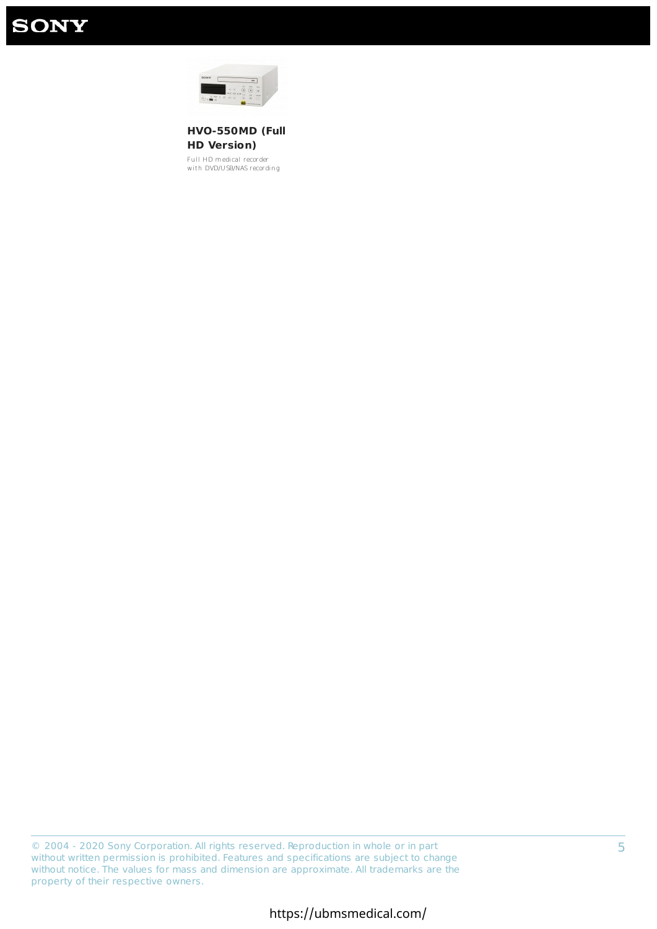# **SONY**



**HVO-550MD (Full HD Version)**

Full HD medical recorder with DVD/U SB/NAS recording